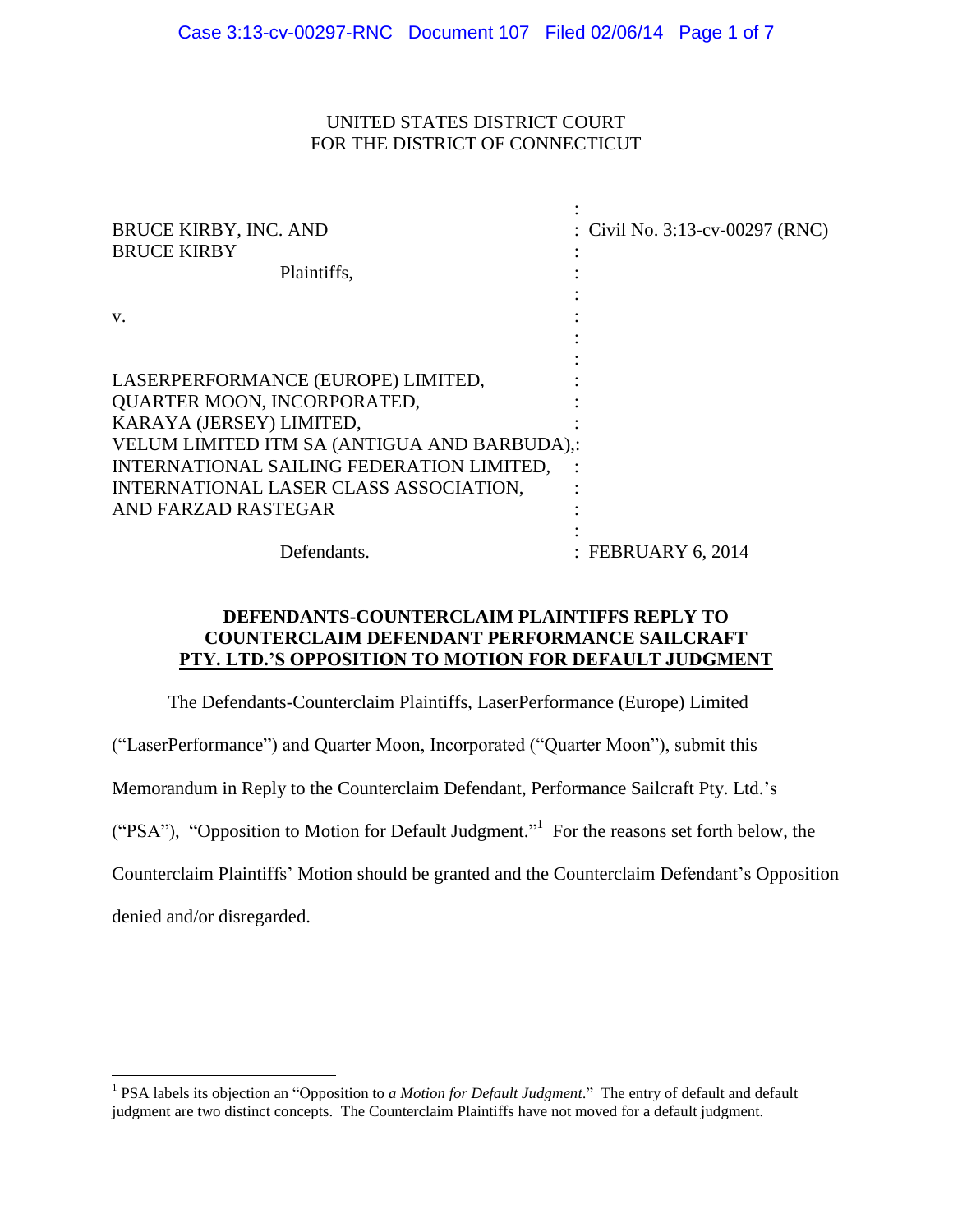## UNITED STATES DISTRICT COURT FOR THE DISTRICT OF CONNECTICUT

| <b>BRUCE KIRBY, INC. AND</b><br><b>BRUCE KIRBY</b> | : Civil No. $3:13$ -cv-00297 (RNC) |
|----------------------------------------------------|------------------------------------|
| Plaintiffs,                                        |                                    |
|                                                    |                                    |
| V.                                                 |                                    |
|                                                    |                                    |
|                                                    |                                    |
| LASERPERFORMANCE (EUROPE) LIMITED,                 |                                    |
| <b>QUARTER MOON, INCORPORATED,</b>                 |                                    |
| KARAYA (JERSEY) LIMITED,                           |                                    |
| VELUM LIMITED ITM SA (ANTIGUA AND BARBUDA),:       |                                    |
| INTERNATIONAL SAILING FEDERATION LIMITED,          |                                    |
| INTERNATIONAL LASER CLASS ASSOCIATION,             |                                    |
| AND FARZAD RASTEGAR                                |                                    |
|                                                    |                                    |
| Defendants.                                        | : FEBRUARY 6, 2014                 |

## **DEFENDANTS-COUNTERCLAIM PLAINTIFFS REPLY TO COUNTERCLAIM DEFENDANT PERFORMANCE SAILCRAFT PTY. LTD.'S OPPOSITION TO MOTION FOR DEFAULT JUDGMENT**

The Defendants-Counterclaim Plaintiffs, LaserPerformance (Europe) Limited

("LaserPerformance") and Quarter Moon, Incorporated ("Quarter Moon"), submit this

Memorandum in Reply to the Counterclaim Defendant, Performance Sailcraft Pty. Ltd.'s

("PSA"), "Opposition to Motion for Default Judgment." 1 For the reasons set forth below, the

Counterclaim Plaintiffs' Motion should be granted and the Counterclaim Defendant's Opposition

denied and/or disregarded.

 $\overline{a}$ 

<sup>&</sup>lt;sup>1</sup> PSA labels its objection an "Opposition to *a Motion for Default Judgment*." The entry of default and default judgment are two distinct concepts. The Counterclaim Plaintiffs have not moved for a default judgment.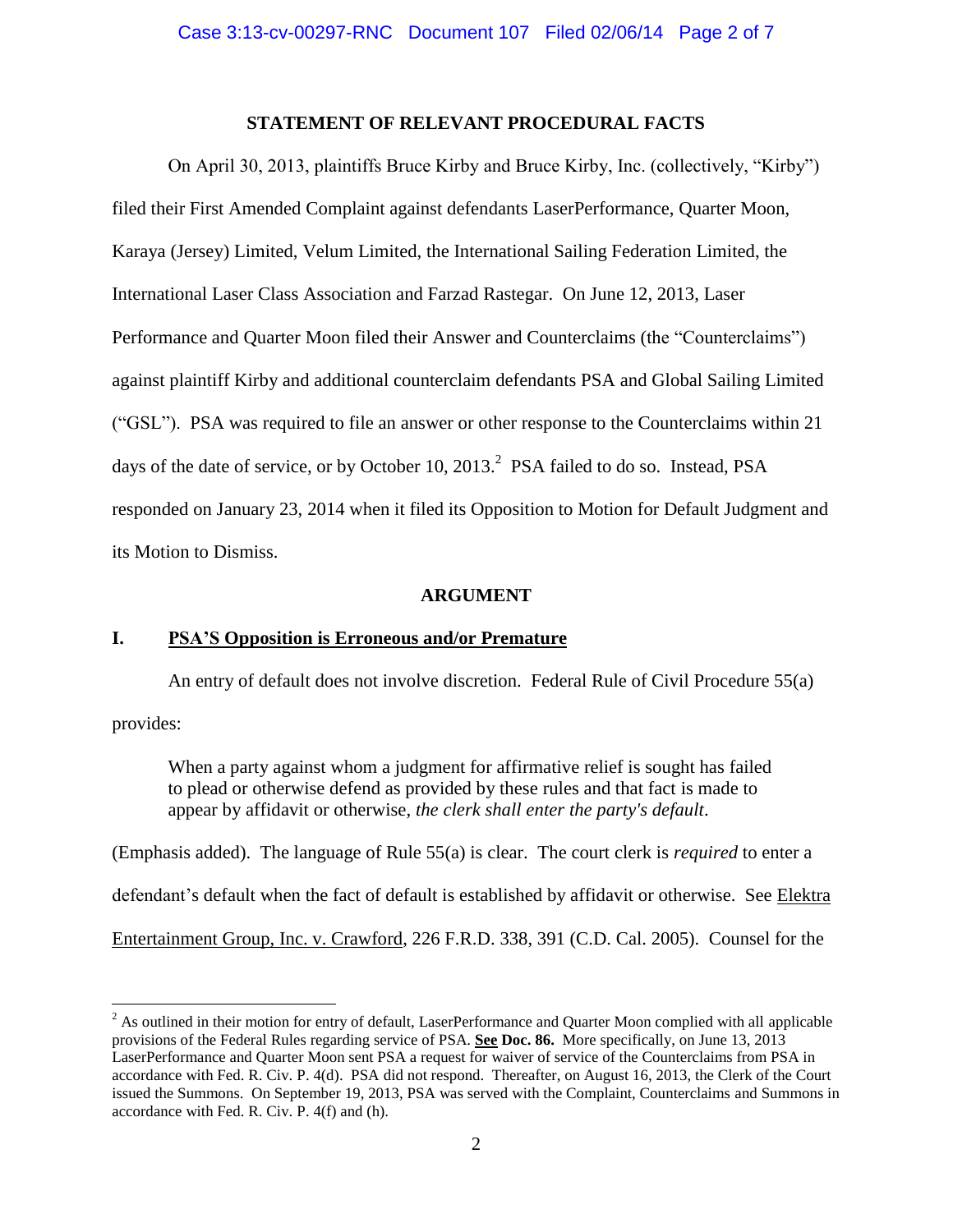## **STATEMENT OF RELEVANT PROCEDURAL FACTS**

On April 30, 2013, plaintiffs Bruce Kirby and Bruce Kirby, Inc. (collectively, "Kirby") filed their First Amended Complaint against defendants LaserPerformance, Quarter Moon, Karaya (Jersey) Limited, Velum Limited, the International Sailing Federation Limited, the International Laser Class Association and Farzad Rastegar. On June 12, 2013, Laser Performance and Quarter Moon filed their Answer and Counterclaims (the "Counterclaims") against plaintiff Kirby and additional counterclaim defendants PSA and Global Sailing Limited ("GSL"). PSA was required to file an answer or other response to the Counterclaims within 21 days of the date of service, or by October 10, 2013.<sup>2</sup> PSA failed to do so. Instead, PSA responded on January 23, 2014 when it filed its Opposition to Motion for Default Judgment and its Motion to Dismiss.

### **ARGUMENT**

## **I. PSA'S Opposition is Erroneous and/or Premature**

 $\overline{a}$ 

An entry of default does not involve discretion. Federal Rule of Civil Procedure 55(a) provides:

When a party against whom a judgment for affirmative relief is sought has failed to plead or otherwise defend as provided by these rules and that fact is made to appear by affidavit or otherwise, *the clerk shall enter the party's default*.

(Emphasis added). The language of Rule 55(a) is clear. The court clerk is *required* to enter a defendant's default when the fact of default is established by affidavit or otherwise. See Elektra Entertainment Group, Inc. v. Crawford, 226 F.R.D. 338, 391 (C.D. Cal. 2005). Counsel for the

<sup>&</sup>lt;sup>2</sup> As outlined in their motion for entry of default, LaserPerformance and Quarter Moon complied with all applicable provisions of the Federal Rules regarding service of PSA. **See Doc. 86.** More specifically, on June 13, 2013 LaserPerformance and Quarter Moon sent PSA a request for waiver of service of the Counterclaims from PSA in accordance with Fed. R. Civ. P. 4(d). PSA did not respond. Thereafter, on August 16, 2013, the Clerk of the Court issued the Summons. On September 19, 2013, PSA was served with the Complaint, Counterclaims and Summons in accordance with Fed. R. Civ. P. 4(f) and (h).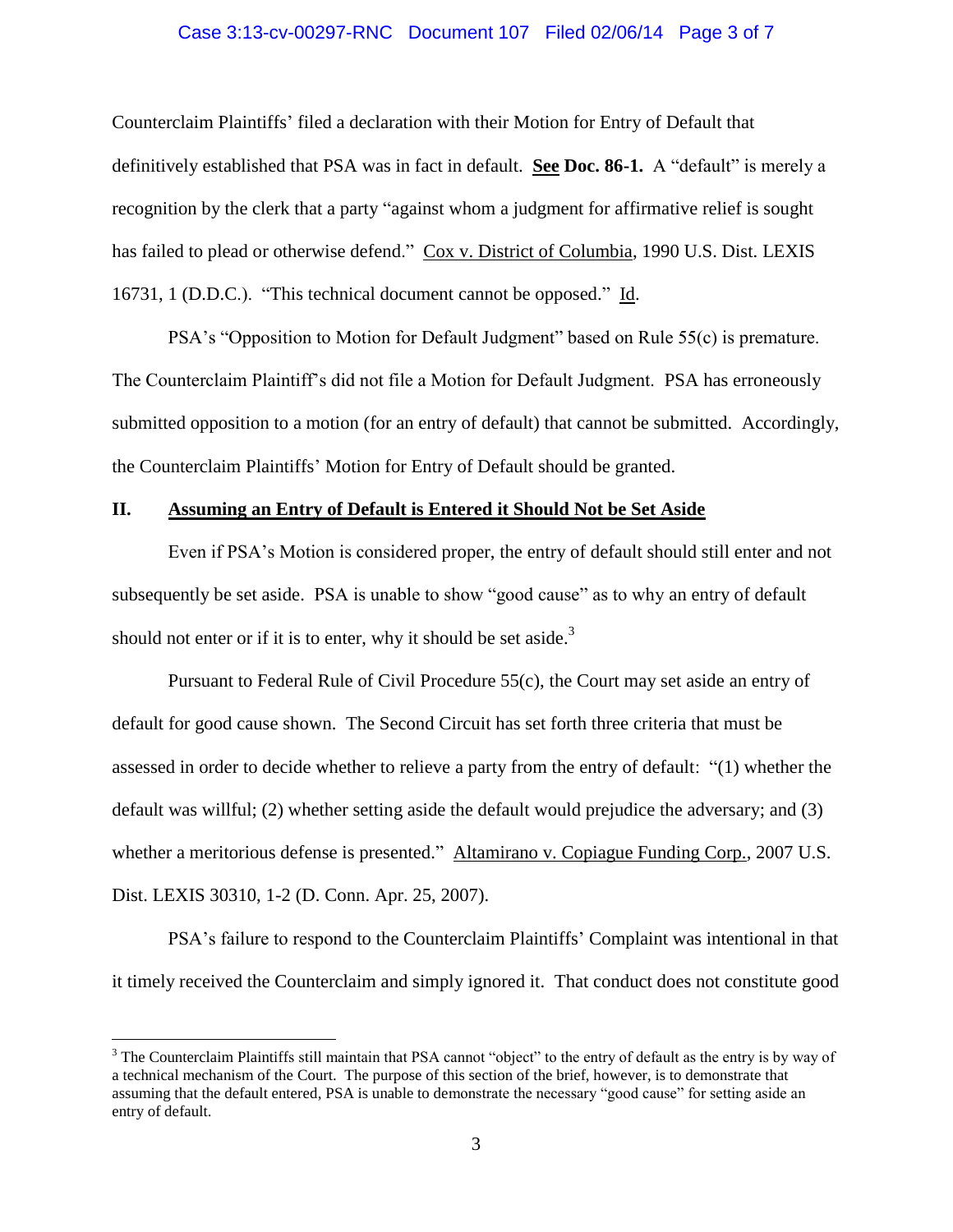#### Case 3:13-cv-00297-RNC Document 107 Filed 02/06/14 Page 3 of 7

Counterclaim Plaintiffs' filed a declaration with their Motion for Entry of Default that definitively established that PSA was in fact in default. **See Doc. 86-1.** A "default" is merely a recognition by the clerk that a party "against whom a judgment for affirmative relief is sought has failed to plead or otherwise defend." Cox v. District of Columbia, 1990 U.S. Dist. LEXIS 16731, 1 (D.D.C.). "This technical document cannot be opposed." Id.

PSA's "Opposition to Motion for Default Judgment" based on Rule 55(c) is premature. The Counterclaim Plaintiff's did not file a Motion for Default Judgment. PSA has erroneously submitted opposition to a motion (for an entry of default) that cannot be submitted. Accordingly, the Counterclaim Plaintiffs' Motion for Entry of Default should be granted.

#### **II. Assuming an Entry of Default is Entered it Should Not be Set Aside**

Even if PSA's Motion is considered proper, the entry of default should still enter and not subsequently be set aside. PSA is unable to show "good cause" as to why an entry of default should not enter or if it is to enter, why it should be set aside.<sup>3</sup>

Pursuant to Federal Rule of Civil Procedure 55(c), the Court may set aside an entry of default for good cause shown. The Second Circuit has set forth three criteria that must be assessed in order to decide whether to relieve a party from the entry of default: "(1) whether the default was willful; (2) whether setting aside the default would prejudice the adversary; and (3) whether a meritorious defense is presented." Altamirano v. Copiague Funding Corp., 2007 U.S. Dist. LEXIS 30310, 1-2 (D. Conn. Apr. 25, 2007).

PSA's failure to respond to the Counterclaim Plaintiffs' Complaint was intentional in that it timely received the Counterclaim and simply ignored it. That conduct does not constitute good

 $\overline{a}$ 

<sup>&</sup>lt;sup>3</sup> The Counterclaim Plaintiffs still maintain that PSA cannot "object" to the entry of default as the entry is by way of a technical mechanism of the Court. The purpose of this section of the brief, however, is to demonstrate that assuming that the default entered, PSA is unable to demonstrate the necessary "good cause" for setting aside an entry of default.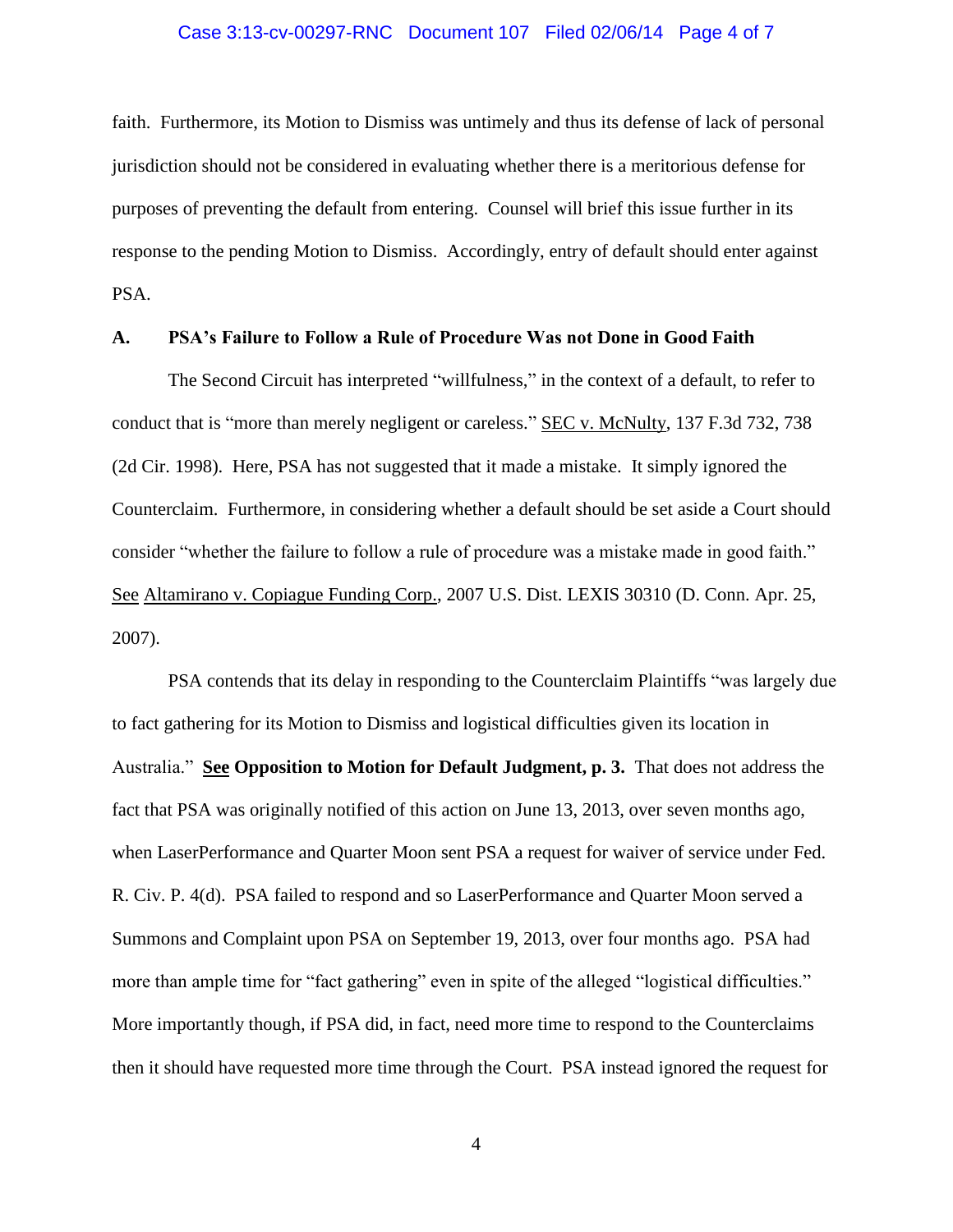#### Case 3:13-cv-00297-RNC Document 107 Filed 02/06/14 Page 4 of 7

faith. Furthermore, its Motion to Dismiss was untimely and thus its defense of lack of personal jurisdiction should not be considered in evaluating whether there is a meritorious defense for purposes of preventing the default from entering. Counsel will brief this issue further in its response to the pending Motion to Dismiss. Accordingly, entry of default should enter against PSA.

#### **A. PSA's Failure to Follow a Rule of Procedure Was not Done in Good Faith**

The Second Circuit has interpreted "willfulness," in the context of a default, to refer to conduct that is "more than merely negligent or careless." SEC v. McNulty, 137 F.3d 732, 738 (2d Cir. 1998). Here, PSA has not suggested that it made a mistake. It simply ignored the Counterclaim. Furthermore, in considering whether a default should be set aside a Court should consider "whether the failure to follow a rule of procedure was a mistake made in good faith." See Altamirano v. Copiague Funding Corp., 2007 U.S. Dist. LEXIS 30310 (D. Conn. Apr. 25, 2007).

PSA contends that its delay in responding to the Counterclaim Plaintiffs "was largely due to fact gathering for its Motion to Dismiss and logistical difficulties given its location in Australia." **See Opposition to Motion for Default Judgment, p. 3.** That does not address the fact that PSA was originally notified of this action on June 13, 2013, over seven months ago, when LaserPerformance and Quarter Moon sent PSA a request for waiver of service under Fed. R. Civ. P. 4(d). PSA failed to respond and so LaserPerformance and Quarter Moon served a Summons and Complaint upon PSA on September 19, 2013, over four months ago. PSA had more than ample time for "fact gathering" even in spite of the alleged "logistical difficulties." More importantly though, if PSA did, in fact, need more time to respond to the Counterclaims then it should have requested more time through the Court. PSA instead ignored the request for

4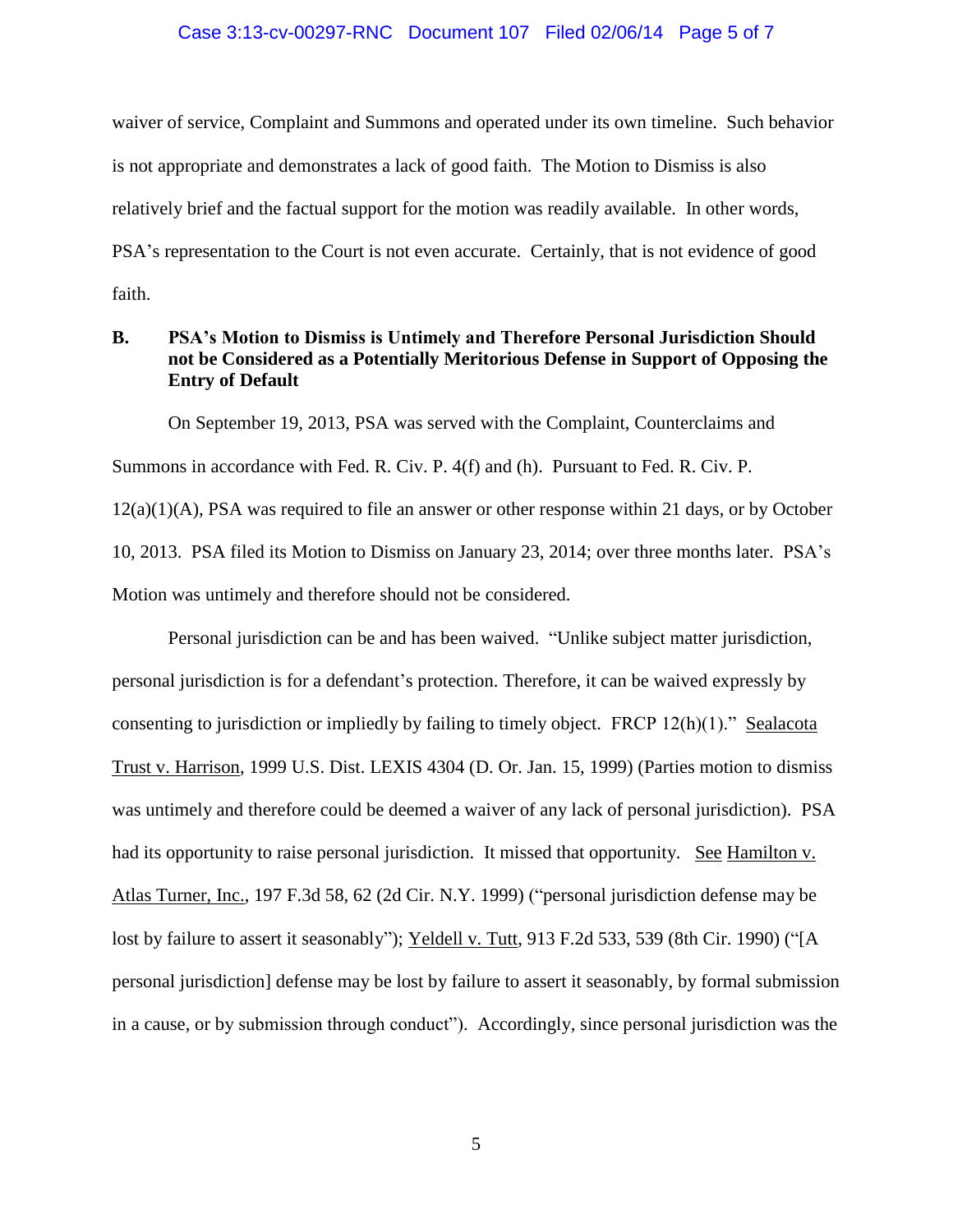#### Case 3:13-cv-00297-RNC Document 107 Filed 02/06/14 Page 5 of 7

waiver of service, Complaint and Summons and operated under its own timeline. Such behavior is not appropriate and demonstrates a lack of good faith. The Motion to Dismiss is also relatively brief and the factual support for the motion was readily available. In other words, PSA's representation to the Court is not even accurate. Certainly, that is not evidence of good faith.

## **B. PSA's Motion to Dismiss is Untimely and Therefore Personal Jurisdiction Should not be Considered as a Potentially Meritorious Defense in Support of Opposing the Entry of Default**

On September 19, 2013, PSA was served with the Complaint, Counterclaims and Summons in accordance with Fed. R. Civ. P. 4(f) and (h). Pursuant to Fed. R. Civ. P.  $12(a)(1)(A)$ , PSA was required to file an answer or other response within 21 days, or by October 10, 2013. PSA filed its Motion to Dismiss on January 23, 2014; over three months later. PSA's Motion was untimely and therefore should not be considered.

Personal jurisdiction can be and has been waived. "Unlike subject matter jurisdiction, personal jurisdiction is for a defendant's protection. Therefore, it can be waived expressly by consenting to jurisdiction or impliedly by failing to timely object. FRCP 12(h)(1)." Sealacota Trust v. Harrison, 1999 U.S. Dist. LEXIS 4304 (D. Or. Jan. 15, 1999) (Parties motion to dismiss was untimely and therefore could be deemed a waiver of any lack of personal jurisdiction). PSA had its opportunity to raise personal jurisdiction. It missed that opportunity. See Hamilton v. Atlas Turner, Inc., 197 F.3d 58, 62 (2d Cir. N.Y. 1999) ("personal jurisdiction defense may be lost by failure to assert it seasonably"); Yeldell v. Tutt, 913 F.2d 533, 539 (8th Cir. 1990) ("[A personal jurisdiction] defense may be lost by failure to assert it seasonably, by formal submission in a cause, or by submission through conduct"). Accordingly, since personal jurisdiction was the

5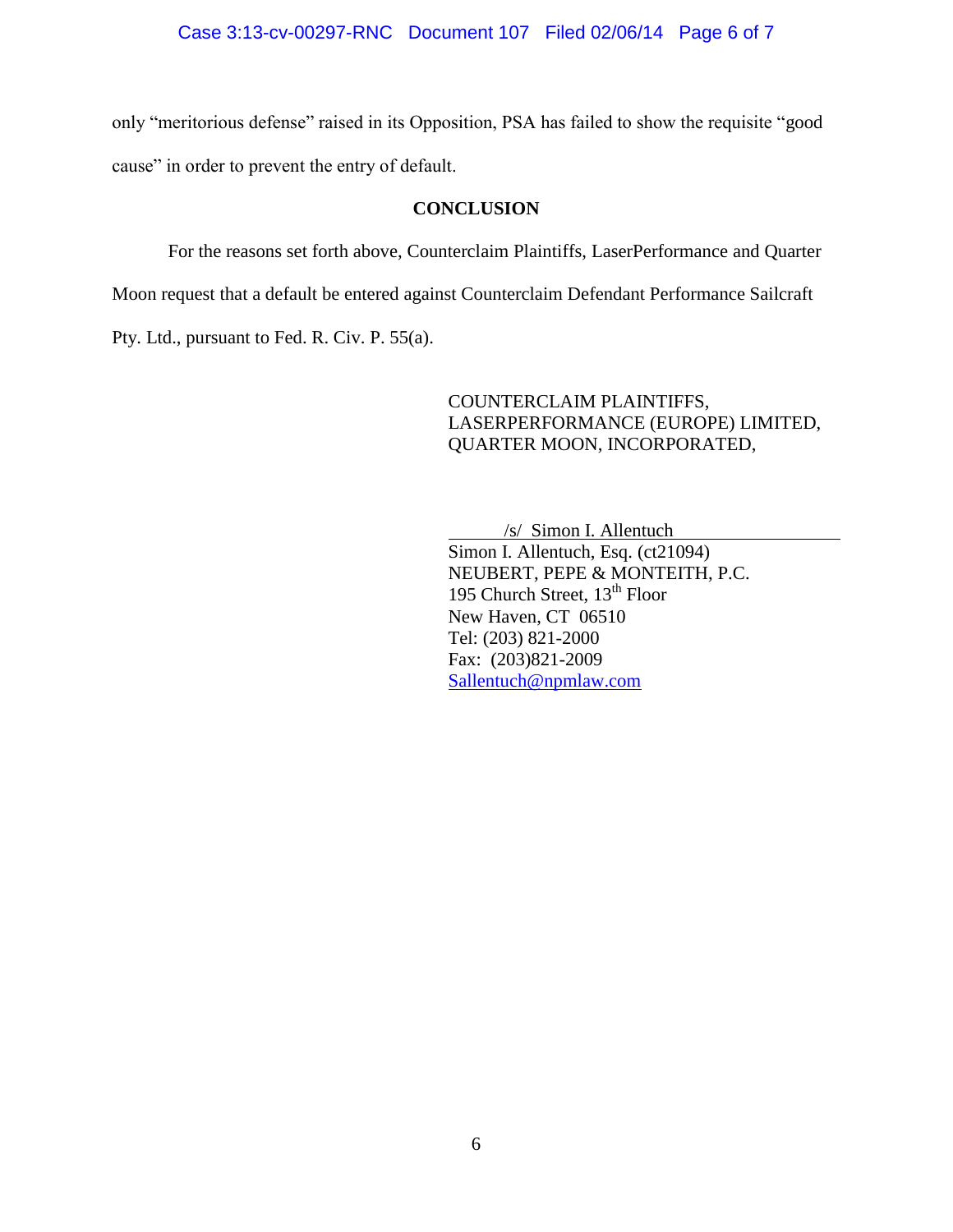only "meritorious defense" raised in its Opposition, PSA has failed to show the requisite "good cause" in order to prevent the entry of default.

### **CONCLUSION**

For the reasons set forth above, Counterclaim Plaintiffs, LaserPerformance and Quarter

Moon request that a default be entered against Counterclaim Defendant Performance Sailcraft

Pty. Ltd., pursuant to Fed. R. Civ. P. 55(a).

COUNTERCLAIM PLAINTIFFS, LASERPERFORMANCE (EUROPE) LIMITED, QUARTER MOON, INCORPORATED,

/s/ Simon I. Allentuch

Simon I. Allentuch, Esq. (ct21094) NEUBERT, PEPE & MONTEITH, P.C. 195 Church Street,  $13^{th}$  Floor New Haven, CT 06510 Tel: (203) 821-2000 Fax: (203)821-2009 [Sallentuch@npmlaw.com](mailto:Sallentuch@npmlaw.com)